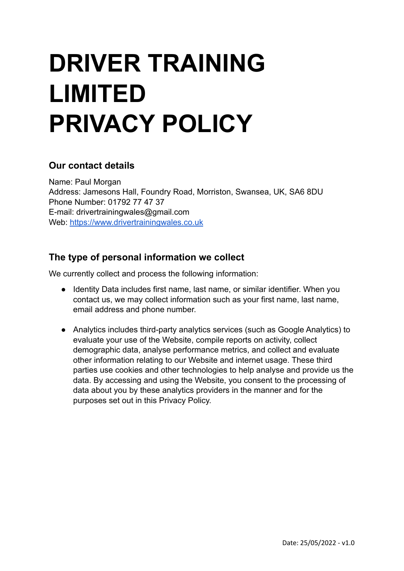# **DRIVER TRAINING LIMITED PRIVACY POLICY**

#### **Our contact details**

Name: Paul Morgan Address: Jamesons Hall, Foundry Road, Morriston, Swansea, UK, SA6 8DU Phone Number: 01792 77 47 37 E-mail: drivertrainingwales@gmail.com Web: <https://www.drivertrainingwales.co.uk>

## **The type of personal information we collect**

We currently collect and process the following information:

- Identity Data includes first name, last name, or similar identifier. When you contact us, we may collect information such as your first name, last name, email address and phone number.
- Analytics includes third-party analytics services (such as Google Analytics) to evaluate your use of the Website, compile reports on activity, collect demographic data, analyse performance metrics, and collect and evaluate other information relating to our Website and internet usage. These third parties use cookies and other technologies to help analyse and provide us the data. By accessing and using the Website, you consent to the processing of data about you by these analytics providers in the manner and for the purposes set out in this Privacy Policy.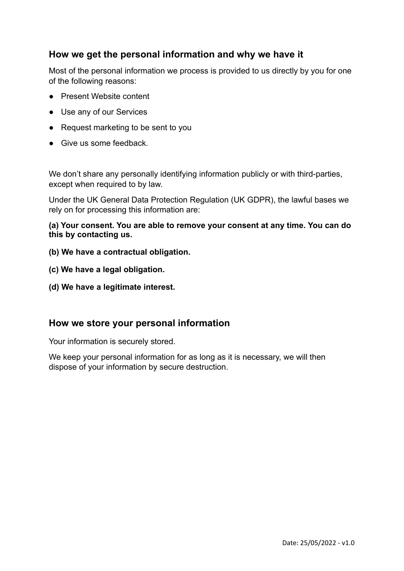#### **How we get the personal information and why we have it**

Most of the personal information we process is provided to us directly by you for one of the following reasons:

- Present Website content
- Use any of our Services
- Request marketing to be sent to you
- Give us some feedback.

We don't share any personally identifying information publicly or with third-parties, except when required to by law.

Under the UK General Data Protection Regulation (UK GDPR), the lawful bases we rely on for processing this information are:

**(a) Your consent. You are able to remove your consent at any time. You can do this by contacting us.**

- **(b) We have a contractual obligation.**
- **(c) We have a legal obligation.**
- **(d) We have a legitimate interest.**

#### **How we store your personal information**

Your information is securely stored.

We keep your personal information for as long as it is necessary, we will then dispose of your information by secure destruction.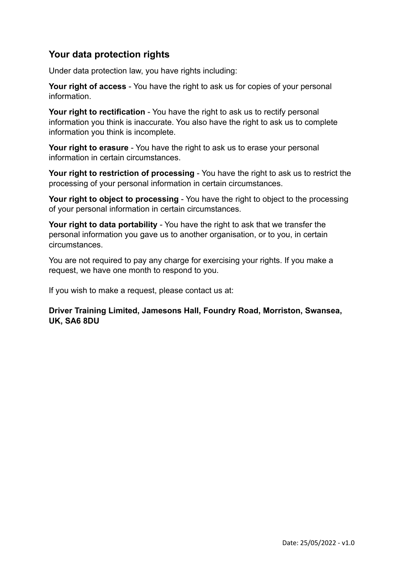### **Your data protection rights**

Under data protection law, you have rights including:

**Your right of access** - You have the right to ask us for copies of your personal information.

**Your right to rectification** - You have the right to ask us to rectify personal information you think is inaccurate. You also have the right to ask us to complete information you think is incomplete.

**Your right to erasure** - You have the right to ask us to erase your personal information in certain circumstances.

**Your right to restriction of processing** - You have the right to ask us to restrict the processing of your personal information in certain circumstances.

**Your right to object to processing** - You have the right to object to the processing of your personal information in certain circumstances.

**Your right to data portability** - You have the right to ask that we transfer the personal information you gave us to another organisation, or to you, in certain circumstances.

You are not required to pay any charge for exercising your rights. If you make a request, we have one month to respond to you.

If you wish to make a request, please contact us at:

**Driver Training Limited, Jamesons Hall, Foundry Road, Morriston, Swansea, UK, SA6 8DU**